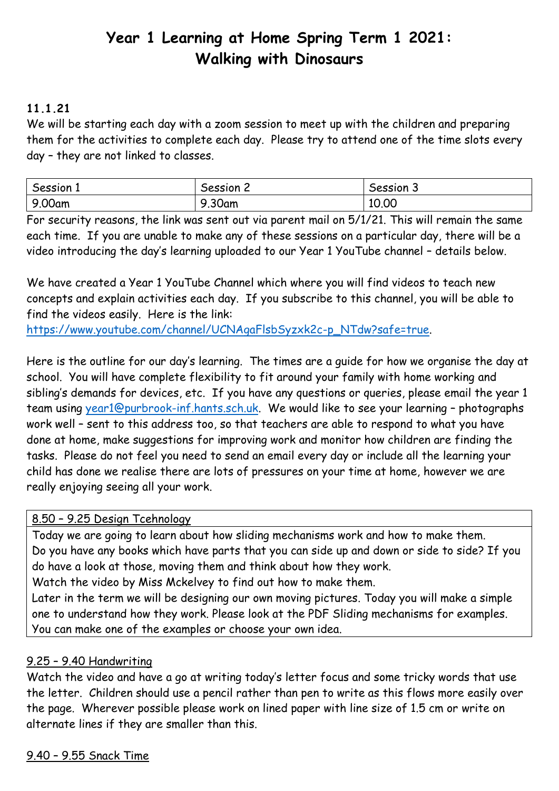# **Year 1 Learning at Home Spring Term 1 2021: Walking with Dinosaurs**

# **11.1.21**

We will be starting each day with a zoom session to meet up with the children and preparing them for the activities to complete each day. Please try to attend one of the time slots every day – they are not linked to classes.

| Session 1 | Session 2 | Session 3 |
|-----------|-----------|-----------|
| 9.00am    | 9.30am    | 10.00     |

For security reasons, the link was sent out via parent mail on 5/1/21. This will remain the same each time. If you are unable to make any of these sessions on a particular day, there will be a video introducing the day's learning uploaded to our Year 1 YouTube channel – details below.

We have created a Year 1 YouTube Channel which where you will find videos to teach new concepts and explain activities each day. If you subscribe to this channel, you will be able to find the videos easily. Here is the link:

[https://www.youtube.com/channel/UCNAgaFlsbSyzxk2c-p\\_NTdw?safe=true.](https://www.youtube.com/channel/UCNAgaFlsbSyzxk2c-p_NTdw?safe=true)

Here is the outline for our day's learning. The times are a guide for how we organise the day at school. You will have complete flexibility to fit around your family with home working and sibling's demands for devices, etc. If you have any questions or queries, please email the year 1 team using [year1@purbrook-inf.hants.sch.uk.](mailto:year1@purbrook-inf.hants.sch.uk) We would like to see your learning – photographs work well – sent to this address too, so that teachers are able to respond to what you have done at home, make suggestions for improving work and monitor how children are finding the tasks. Please do not feel you need to send an email every day or include all the learning your child has done we realise there are lots of pressures on your time at home, however we are really enjoying seeing all your work.

## 8.50 – 9.25 Design Tcehnology

Today we are going to learn about how sliding mechanisms work and how to make them. Do you have any books which have parts that you can side up and down or side to side? If you do have a look at those, moving them and think about how they work.

Watch the video by Miss Mckelvey to find out how to make them.

Later in the term we will be designing our own moving pictures. Today you will make a simple one to understand how they work. Please look at the PDF Sliding mechanisms for examples. You can make one of the examples or choose your own idea.

## 9.25 – 9.40 Handwriting

Watch the video and have a go at writing today's letter focus and some tricky words that use the letter. Children should use a pencil rather than pen to write as this flows more easily over the page. Wherever possible please work on lined paper with line size of 1.5 cm or write on alternate lines if they are smaller than this.

9.40 – 9.55 Snack Time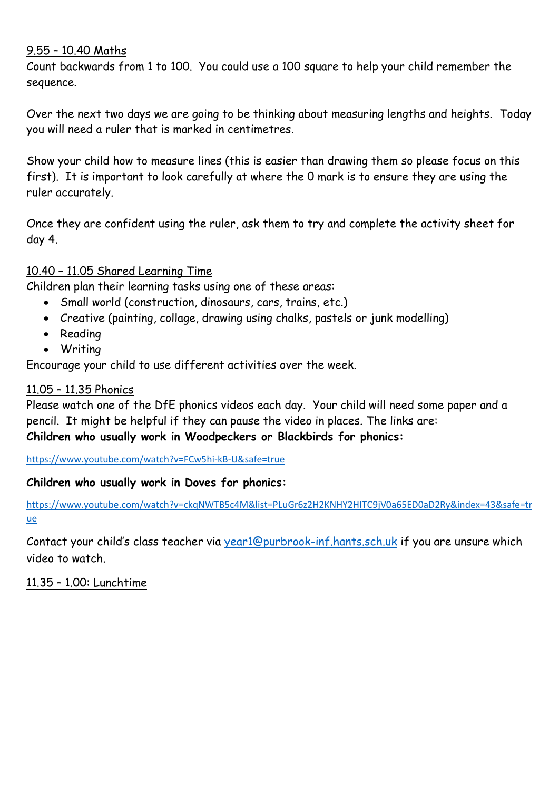#### 9.55 – 10.40 Maths

Count backwards from 1 to 100. You could use a 100 square to help your child remember the sequence.

Over the next two days we are going to be thinking about measuring lengths and heights. Today you will need a ruler that is marked in centimetres.

Show your child how to measure lines (this is easier than drawing them so please focus on this first). It is important to look carefully at where the 0 mark is to ensure they are using the ruler accurately.

Once they are confident using the ruler, ask them to try and complete the activity sheet for day 4.

#### 10.40 – 11.05 Shared Learning Time

Children plan their learning tasks using one of these areas:

- Small world (construction, dinosaurs, cars, trains, etc.)
- Creative (painting, collage, drawing using chalks, pastels or junk modelling)
- Reading
- Writing

Encourage your child to use different activities over the week.

#### 11.05 – 11.35 Phonics

Please watch one of the DfE phonics videos each day. Your child will need some paper and a pencil. It might be helpful if they can pause the video in places. The links are: **Children who usually work in Woodpeckers or Blackbirds for phonics:**

<https://www.youtube.com/watch?v=FCw5hi-kB-U&safe=true>

#### **Children who usually work in Doves for phonics:**

[https://www.youtube.com/watch?v=ckqNWTB5c4M&list=PLuGr6z2H2KNHY2HITC9jV0a65ED0aD2Ry&index=43&safe=tr](https://www.youtube.com/watch?v=ckqNWTB5c4M&list=PLuGr6z2H2KNHY2HITC9jV0a65ED0aD2Ry&index=43&safe=true) [ue](https://www.youtube.com/watch?v=ckqNWTB5c4M&list=PLuGr6z2H2KNHY2HITC9jV0a65ED0aD2Ry&index=43&safe=true)

Contact your child's class teacher via [year1@purbrook-inf.hants.sch.uk](mailto:year1@purbrook-inf.hants.sch.uk) if you are unsure which video to watch.

## 11.35 – 1.00: Lunchtime